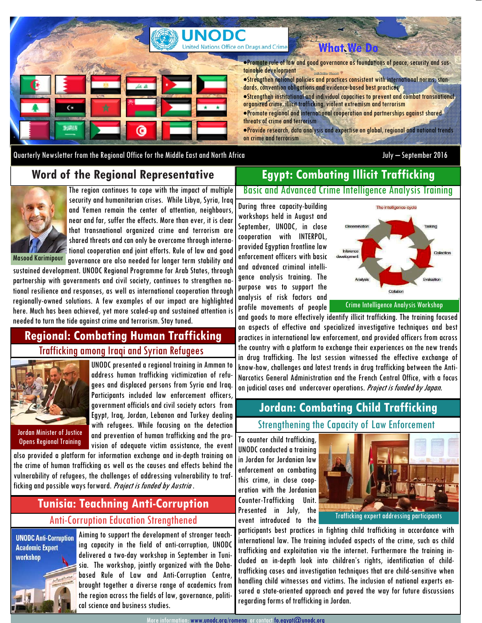

Quarterly Newsletter from the Regional Office for the Middle East and North Africa July – September 2016

#### **Word of the Regional Representative**

# **Egypt: Combating Illicit Trafficking**



The region continues to cope with the impact of multiple security and humanitarian crises. While Libya, Syria, Iraq and Yemen remain the center of attention, neighbours, near and far, suffer the effects. More than ever, it is clear that transnational organized crime and terrorism are shared threats and can only be overcome through international cooperation and joint efforts. Rule of law and good governance are also needed for longer term stability and

sustained development. UNODC Regional Programme for Arab States, through partnership with governments and civil society, continues to strengthen national resilience and responses, as well as international cooperation through regionally-owned solutions. A few examples of our impact are highlighted here. Much has been achieved, yet more scaled-up and sustained attention is needed to turn the tide against crime and terrorism. Stay tuned.

### **Regional: Combating Human Trafficking**  Trafficking among Iraqi and Syrian Refugees



UNODC presented a regional training in Amman to address human trafficking victimization of refugees and displaced persons from Syria and Iraq. Participants included law enforcement officers, government officials and civil society actors from Egypt, Iraq, Jordan, Lebanon and Turkey dealing with refugees. While focusing on the detection and prevention of human trafficking and the pro-Opens Regional Training and prevention of nominal trafficking and the pro- To counter child trafficking,

also provided a platform for information exchange and in-depth training on the crime of human trafficking as well as the causes and effects behind the vulnerability of refugees, the challenges of addressing vulnerability to trafficking and possible ways forward. Project is funded by Austria .

## **Tunisia: Teachning Anti-Corruption**  Anti-Corruption Education Strengthened

**UNODC Anti-Corruption Academic Expert** workshop



Aiming to support the development of stronger teaching capacity in the field of anti-corruption, UNODC delivered a two-day workshop in September in Tunisia. The workshop, jointly organized with the Dohabased Rule of Law and Anti-Corruption Centre, brought together a diverse range of academics from the region across the fields of law, governance, political science and business studies.

Basic and Advanced Crime Intelligence Analysis Training

During three capacity-building workshops held in August and September, UNODC, in close cooperation with INTERPOL, provided Egyptian frontline law enforcement officers with basic and advanced criminal intelligence analysis training. The purpose was to support the analysis of risk factors and profile movements of people



Crime Intelligence Analysis Workshop

and goods to more effectively identify illicit trafficking. The training focused on aspects of effective and specialized investigative techniques and best practices in international law enforcement, and provided officers from across the country with a platform to exchange their experiences on the new trends in drug trafficking. The last session witnessed the effective exchange of know-how, challenges and latest trends in drug trafficking between the Anti-Narcotics General Administration and the French Central Office, with a focus on judicial cases and undercover operations. Project is funded by Japan.

### **Jordan: Combating Child Trafficking**  Strengthening the Capacity of Law Enforcement

UNODC conducted a training in Jordan for Jordanian law enforcement on combating this crime, in close cooperation with the Jordanian Counter-Trafficking Unit. Presented in July, the event introduced to the



participants best practices in fighting child trafficking in accordance with international law. The training included aspects of the crime, such as child trafficking and exploitation via the internet. Furthermore the training included an in-depth look into children's rights, identification of childtrafficking cases and investigation techniques that are child-sensitive when handling child witnesses and victims. The inclusion of national experts ensured a state-oriented approach and paved the way for future discussions regarding forms of trafficking in Jordan.